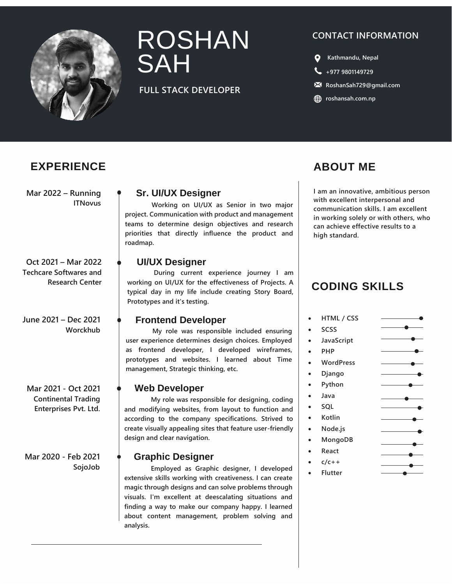

# ROSHAN SAH

# **FULL STACK DEVELOPER**

# **CONTACT INFORMATION**

- **Kathmandu, Nepal**
- **[+977 9801149729](tel:+977%209801149729)**
- **RoshanSah729@gmail.com**
- **c** [roshansah.com.np](https://roshansah.com.np/)

# **EXPERIENCE ABOUT ME**

**Mar 2022 – Running ITNovus**

**Oct 2021 – Mar 2022 Techcare Softwares and Research Center**

**June 2021 – Dec 2021 Worckhub**

**Mar 2021 - Oct 2021 Continental Trading Enterprises Pvt. Ltd.**

**Mar 2020 - Feb 2021 SojoJob**

# **Sr. UI/UX Designer**

**Working on UI/UX as Senior in two major project. Communication with product and management teams to determine design objectives and research priorities that directly influence the product and roadmap.**

# **UI/UX Designer**

**During current experience journey I am working on UI/UX for the effectiveness of Projects. A typical day in my life include creating Story Board, Prototypes and it's testing.**

# **Frontend Developer**

**My role was responsible included ensuring user experience determines design choices. Employed as frontend developer, I developed wireframes, prototypes and websites. I learned about Time management, Strategic thinking, etc.**

### **Web Developer**

**My role was responsible for designing, coding and modifying websites, from layout to function and according to the company specifications. Strived to create visually appealing sites that feature user-friendly design and clear navigation.**

# **Graphic Designer**

**Employed as Graphic designer, I developed extensive skills working with creativeness. I can create magic through designs and can solve problems through visuals. I'm excellent at deescalating situations and finding a way to make our company happy. I learned about content management, problem solving and analysis.**

**I am an innovative, ambitious person with excellent interpersonal and communication skills. I am excellent in working solely or with others, who can achieve effective results to a high standard.**

# **CODING SKILLS**

#### **HTML / CSS SCSS JavaScript**  $\overline{\phantom{a}}$  **PHP WordPress**  $\overline{\phantom{a}}$  **Django Python**  $\overline{\phantom{a}}$  **Java**  $\overline{\phantom{a}}$  **SQL •** Kotlin **Node.js**  $\overline{\phantom{a}}$  **MongoDB React c/c++ Flutter**